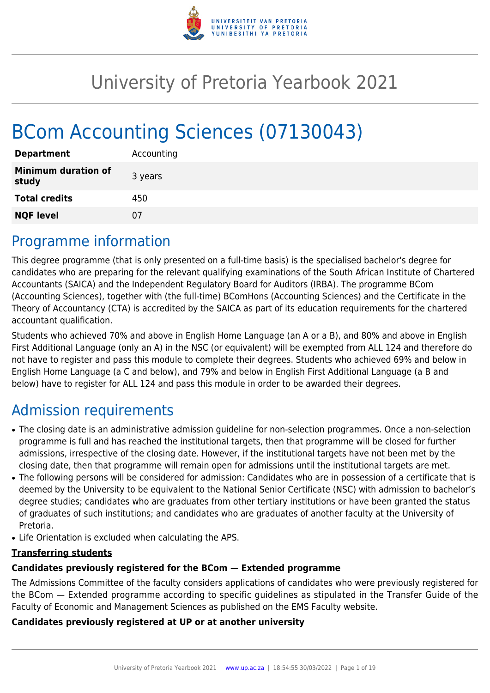

# University of Pretoria Yearbook 2021

# BCom Accounting Sciences (07130043)

| <b>Department</b>                   | Accounting |
|-------------------------------------|------------|
| <b>Minimum duration of</b><br>study | 3 years    |
| <b>Total credits</b>                | 450        |
| <b>NQF level</b>                    | 07         |

## Programme information

This degree programme (that is only presented on a full-time basis) is the specialised bachelor's degree for candidates who are preparing for the relevant qualifying examinations of the South African Institute of Chartered Accountants (SAICA) and the Independent Regulatory Board for Auditors (IRBA). The programme BCom (Accounting Sciences), together with (the full-time) BComHons (Accounting Sciences) and the Certificate in the Theory of Accountancy (CTA) is accredited by the SAICA as part of its education requirements for the chartered accountant qualification.

Students who achieved 70% and above in English Home Language (an A or a B), and 80% and above in English First Additional Language (only an A) in the NSC (or equivalent) will be exempted from ALL 124 and therefore do not have to register and pass this module to complete their degrees. Students who achieved 69% and below in English Home Language (a C and below), and 79% and below in English First Additional Language (a B and below) have to register for ALL 124 and pass this module in order to be awarded their degrees.

## Admission requirements

- The closing date is an administrative admission guideline for non-selection programmes. Once a non-selection programme is full and has reached the institutional targets, then that programme will be closed for further admissions, irrespective of the closing date. However, if the institutional targets have not been met by the closing date, then that programme will remain open for admissions until the institutional targets are met.
- The following persons will be considered for admission: Candidates who are in possession of a certificate that is deemed by the University to be equivalent to the National Senior Certificate (NSC) with admission to bachelor's degree studies; candidates who are graduates from other tertiary institutions or have been granted the status of graduates of such institutions; and candidates who are graduates of another faculty at the University of Pretoria.
- Life Orientation is excluded when calculating the APS.

#### **Transferring students**

#### **Candidates previously registered for the BCom — Extended programme**

The Admissions Committee of the faculty considers applications of candidates who were previously registered for the BCom — Extended programme according to specific guidelines as stipulated in the Transfer Guide of the Faculty of Economic and Management Sciences as published on the EMS Faculty website.

#### **Candidates previously registered at UP or at another university**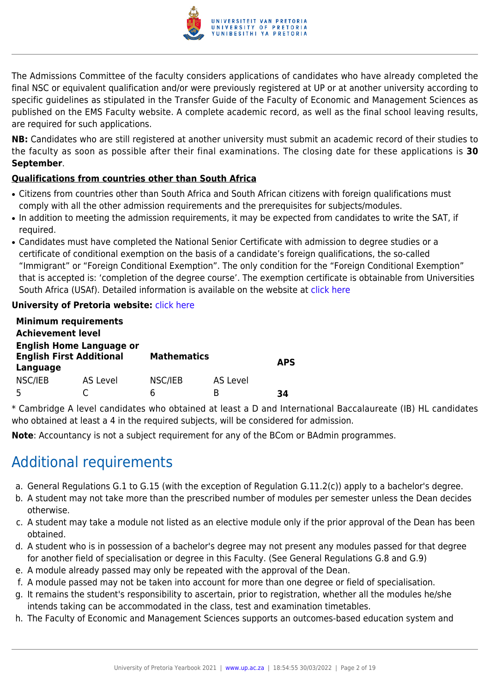

The Admissions Committee of the faculty considers applications of candidates who have already completed the final NSC or equivalent qualification and/or were previously registered at UP or at another university according to specific guidelines as stipulated in the Transfer Guide of the Faculty of Economic and Management Sciences as published on the EMS Faculty website. A complete academic record, as well as the final school leaving results, are required for such applications.

**NB:** Candidates who are still registered at another university must submit an academic record of their studies to the faculty as soon as possible after their final examinations. The closing date for these applications is **30 September**.

### **Qualifications from countries other than South Africa**

- Citizens from countries other than South Africa and South African citizens with foreign qualifications must comply with all the other admission requirements and the prerequisites for subjects/modules.
- In addition to meeting the admission requirements, it may be expected from candidates to write the SAT, if required.
- Candidates must have completed the National Senior Certificate with admission to degree studies or a certificate of conditional exemption on the basis of a candidate's foreign qualifications, the so-called "Immigrant" or "Foreign Conditional Exemption". The only condition for the "Foreign Conditional Exemption" that is accepted is: 'completion of the degree course'. The exemption certificate is obtainable from Universities South Africa (USAf). Detailed information is available on the website at [click here](http://mb.usaf.ac.za)

#### **University of Pretoria website: [click here](http://www.up.ac.za/ems)**

|                                                                                | <b>Minimum requirements</b> |                    |                 |            |
|--------------------------------------------------------------------------------|-----------------------------|--------------------|-----------------|------------|
| <b>Achievement level</b>                                                       |                             |                    |                 |            |
| <b>English Home Language or</b><br><b>English First Additional</b><br>Language |                             | <b>Mathematics</b> |                 | <b>APS</b> |
| NSC/IEB                                                                        | AS Level                    | NSC/IEB            | <b>AS Level</b> |            |
| .5                                                                             |                             | h                  | R               | 34         |

\* Cambridge A level candidates who obtained at least a D and International Baccalaureate (IB) HL candidates who obtained at least a 4 in the required subjects, will be considered for admission.

**Note**: Accountancy is not a subject requirement for any of the BCom or BAdmin programmes.

## Additional requirements

- a. General Regulations G.1 to G.15 (with the exception of Regulation G.11.2(c)) apply to a bachelor's degree.
- b. A student may not take more than the prescribed number of modules per semester unless the Dean decides otherwise.
- c. A student may take a module not listed as an elective module only if the prior approval of the Dean has been obtained.
- d. A student who is in possession of a bachelor's degree may not present any modules passed for that degree for another field of specialisation or degree in this Faculty. (See General Regulations G.8 and G.9)
- e. A module already passed may only be repeated with the approval of the Dean.
- f. A module passed may not be taken into account for more than one degree or field of specialisation.
- g. It remains the student's responsibility to ascertain, prior to registration, whether all the modules he/she intends taking can be accommodated in the class, test and examination timetables.
- h. The Faculty of Economic and Management Sciences supports an outcomes-based education system and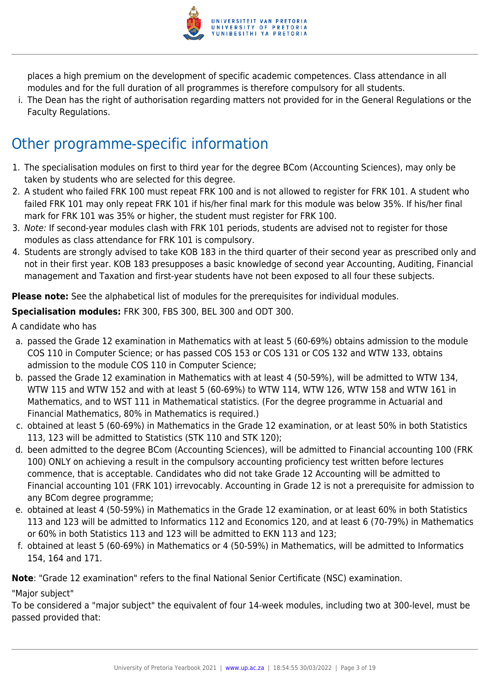

places a high premium on the development of specific academic competences. Class attendance in all modules and for the full duration of all programmes is therefore compulsory for all students.

i. The Dean has the right of authorisation regarding matters not provided for in the General Regulations or the Faculty Regulations.

## Other programme-specific information

- 1. The specialisation modules on first to third year for the degree BCom (Accounting Sciences), may only be taken by students who are selected for this degree.
- 2. A student who failed FRK 100 must repeat FRK 100 and is not allowed to register for FRK 101. A student who failed FRK 101 may only repeat FRK 101 if his/her final mark for this module was below 35%. If his/her final mark for FRK 101 was 35% or higher, the student must register for FRK 100.
- 3. Note: If second-year modules clash with FRK 101 periods, students are advised not to register for those modules as class attendance for FRK 101 is compulsory.
- 4. Students are strongly advised to take KOB 183 in the third quarter of their second year as prescribed only and not in their first year. KOB 183 presupposes a basic knowledge of second year Accounting, Auditing, Financial management and Taxation and first-year students have not been exposed to all four these subjects.

**Please note:** See the alphabetical list of modules for the prerequisites for individual modules.

**Specialisation modules:** FRK 300, FBS 300, BEL 300 and ODT 300.

A candidate who has

- a. passed the Grade 12 examination in Mathematics with at least 5 (60-69%) obtains admission to the module COS 110 in Computer Science; or has passed COS 153 or COS 131 or COS 132 and WTW 133, obtains admission to the module COS 110 in Computer Science;
- b. passed the Grade 12 examination in Mathematics with at least 4 (50-59%), will be admitted to WTW 134, WTW 115 and WTW 152 and with at least 5 (60-69%) to WTW 114, WTW 126, WTW 158 and WTW 161 in Mathematics, and to WST 111 in Mathematical statistics. (For the degree programme in Actuarial and Financial Mathematics, 80% in Mathematics is required.)
- c. obtained at least 5 (60-69%) in Mathematics in the Grade 12 examination, or at least 50% in both Statistics 113, 123 will be admitted to Statistics (STK 110 and STK 120);
- d. been admitted to the degree BCom (Accounting Sciences), will be admitted to Financial accounting 100 (FRK 100) ONLY on achieving a result in the compulsory accounting proficiency test written before lectures commence, that is acceptable. Candidates who did not take Grade 12 Accounting will be admitted to Financial accounting 101 (FRK 101) irrevocably. Accounting in Grade 12 is not a prerequisite for admission to any BCom degree programme;
- e. obtained at least 4 (50-59%) in Mathematics in the Grade 12 examination, or at least 60% in both Statistics 113 and 123 will be admitted to Informatics 112 and Economics 120, and at least 6 (70-79%) in Mathematics or 60% in both Statistics 113 and 123 will be admitted to EKN 113 and 123;
- f. obtained at least 5 (60-69%) in Mathematics or 4 (50-59%) in Mathematics, will be admitted to Informatics 154, 164 and 171.

**Note**: "Grade 12 examination" refers to the final National Senior Certificate (NSC) examination.

"Major subject"

To be considered a "major subject" the equivalent of four 14-week modules, including two at 300-level, must be passed provided that: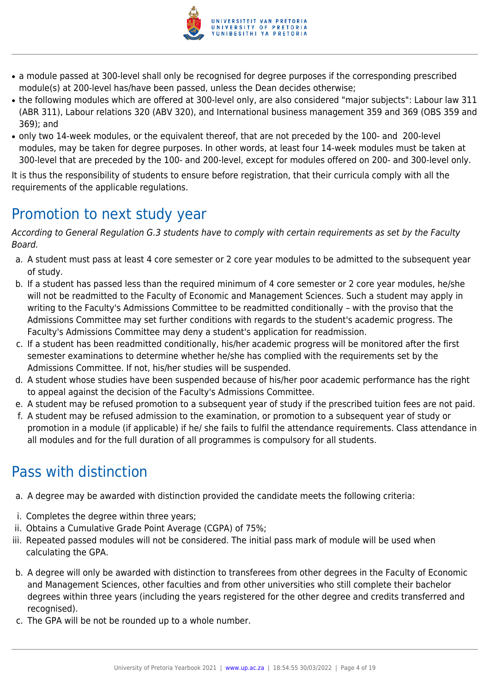

- a module passed at 300-level shall only be recognised for degree purposes if the corresponding prescribed module(s) at 200-level has/have been passed, unless the Dean decides otherwise;
- the following modules which are offered at 300-level only, are also considered "major subjects": Labour law 311 (ABR 311), Labour relations 320 (ABV 320), and International business management 359 and 369 (OBS 359 and 369); and
- only two 14-week modules, or the equivalent thereof, that are not preceded by the 100- and 200-level modules, may be taken for degree purposes. In other words, at least four 14-week modules must be taken at 300-level that are preceded by the 100- and 200-level, except for modules offered on 200- and 300-level only.

It is thus the responsibility of students to ensure before registration, that their curricula comply with all the requirements of the applicable regulations.

## Promotion to next study year

According to General Regulation G.3 students have to comply with certain requirements as set by the Faculty Board.

- a. A student must pass at least 4 core semester or 2 core year modules to be admitted to the subsequent year of study.
- b. If a student has passed less than the required minimum of 4 core semester or 2 core year modules, he/she will not be readmitted to the Faculty of Economic and Management Sciences. Such a student may apply in writing to the Faculty's Admissions Committee to be readmitted conditionally – with the proviso that the Admissions Committee may set further conditions with regards to the student's academic progress. The Faculty's Admissions Committee may deny a student's application for readmission.
- c. If a student has been readmitted conditionally, his/her academic progress will be monitored after the first semester examinations to determine whether he/she has complied with the requirements set by the Admissions Committee. If not, his/her studies will be suspended.
- d. A student whose studies have been suspended because of his/her poor academic performance has the right to appeal against the decision of the Faculty's Admissions Committee.
- e. A student may be refused promotion to a subsequent year of study if the prescribed tuition fees are not paid.
- f. A student may be refused admission to the examination, or promotion to a subsequent year of study or promotion in a module (if applicable) if he/ she fails to fulfil the attendance requirements. Class attendance in all modules and for the full duration of all programmes is compulsory for all students.

## Pass with distinction

- a. A degree may be awarded with distinction provided the candidate meets the following criteria:
- i. Completes the degree within three years;
- ii. Obtains a Cumulative Grade Point Average (CGPA) of 75%;
- iii. Repeated passed modules will not be considered. The initial pass mark of module will be used when calculating the GPA.
- b. A degree will only be awarded with distinction to transferees from other degrees in the Faculty of Economic and Management Sciences, other faculties and from other universities who still complete their bachelor degrees within three years (including the years registered for the other degree and credits transferred and recognised).
- c. The GPA will be not be rounded up to a whole number.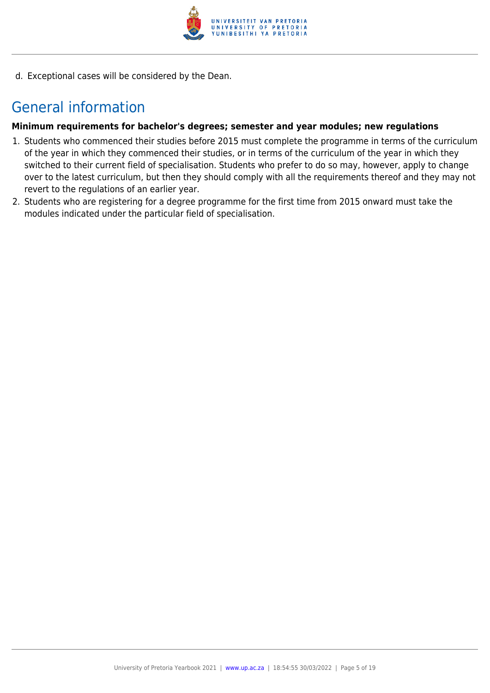

d. Exceptional cases will be considered by the Dean.

## General information

#### **Minimum requirements for bachelor's degrees; semester and year modules; new regulations**

- 1. Students who commenced their studies before 2015 must complete the programme in terms of the curriculum of the year in which they commenced their studies, or in terms of the curriculum of the year in which they switched to their current field of specialisation. Students who prefer to do so may, however, apply to change over to the latest curriculum, but then they should comply with all the requirements thereof and they may not revert to the regulations of an earlier year.
- 2. Students who are registering for a degree programme for the first time from 2015 onward must take the modules indicated under the particular field of specialisation.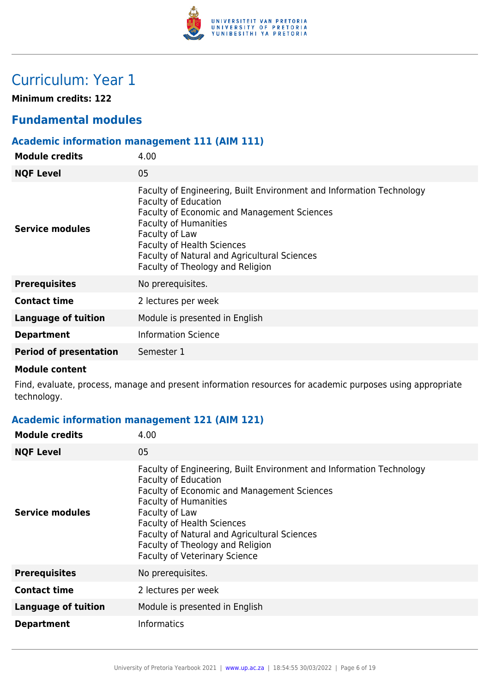

## Curriculum: Year 1

**Minimum credits: 122**

### **Fundamental modules**

### **Academic information management 111 (AIM 111)**

| <b>Module credits</b>         | 4.00                                                                                                                                                                                                                                                                                                                          |
|-------------------------------|-------------------------------------------------------------------------------------------------------------------------------------------------------------------------------------------------------------------------------------------------------------------------------------------------------------------------------|
| <b>NQF Level</b>              | 05                                                                                                                                                                                                                                                                                                                            |
| <b>Service modules</b>        | Faculty of Engineering, Built Environment and Information Technology<br><b>Faculty of Education</b><br>Faculty of Economic and Management Sciences<br><b>Faculty of Humanities</b><br>Faculty of Law<br><b>Faculty of Health Sciences</b><br>Faculty of Natural and Agricultural Sciences<br>Faculty of Theology and Religion |
| <b>Prerequisites</b>          | No prerequisites.                                                                                                                                                                                                                                                                                                             |
| <b>Contact time</b>           | 2 lectures per week                                                                                                                                                                                                                                                                                                           |
| <b>Language of tuition</b>    | Module is presented in English                                                                                                                                                                                                                                                                                                |
| <b>Department</b>             | <b>Information Science</b>                                                                                                                                                                                                                                                                                                    |
| <b>Period of presentation</b> | Semester 1                                                                                                                                                                                                                                                                                                                    |

#### **Module content**

Find, evaluate, process, manage and present information resources for academic purposes using appropriate technology.

### **Academic information management 121 (AIM 121)**

| <b>Module credits</b>      | 4.00                                                                                                                                                                                                                                                                                                                                                                  |
|----------------------------|-----------------------------------------------------------------------------------------------------------------------------------------------------------------------------------------------------------------------------------------------------------------------------------------------------------------------------------------------------------------------|
| <b>NQF Level</b>           | 05                                                                                                                                                                                                                                                                                                                                                                    |
| Service modules            | Faculty of Engineering, Built Environment and Information Technology<br><b>Faculty of Education</b><br>Faculty of Economic and Management Sciences<br><b>Faculty of Humanities</b><br>Faculty of Law<br><b>Faculty of Health Sciences</b><br>Faculty of Natural and Agricultural Sciences<br>Faculty of Theology and Religion<br><b>Faculty of Veterinary Science</b> |
| <b>Prerequisites</b>       | No prerequisites.                                                                                                                                                                                                                                                                                                                                                     |
| <b>Contact time</b>        | 2 lectures per week                                                                                                                                                                                                                                                                                                                                                   |
| <b>Language of tuition</b> | Module is presented in English                                                                                                                                                                                                                                                                                                                                        |
| <b>Department</b>          | <b>Informatics</b>                                                                                                                                                                                                                                                                                                                                                    |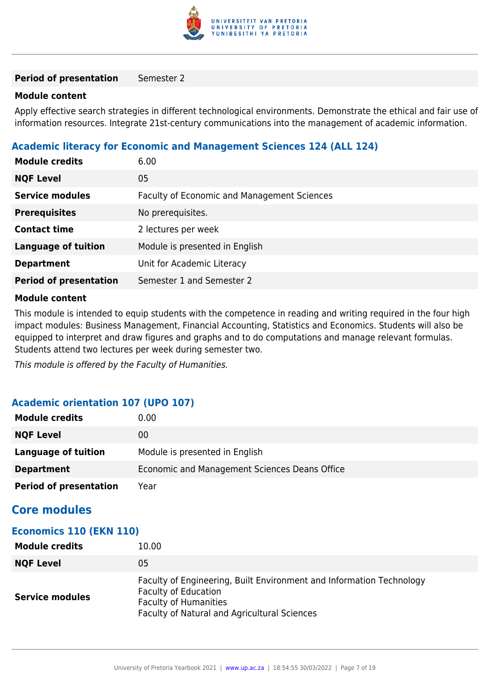

#### **Period of presentation** Semester 2

#### **Module content**

Apply effective search strategies in different technological environments. Demonstrate the ethical and fair use of information resources. Integrate 21st-century communications into the management of academic information.

#### **Academic literacy for Economic and Management Sciences 124 (ALL 124)**

| <b>Module credits</b>         | 6.00                                               |
|-------------------------------|----------------------------------------------------|
| <b>NQF Level</b>              | 05                                                 |
| <b>Service modules</b>        | <b>Faculty of Economic and Management Sciences</b> |
| <b>Prerequisites</b>          | No prerequisites.                                  |
| <b>Contact time</b>           | 2 lectures per week                                |
| <b>Language of tuition</b>    | Module is presented in English                     |
| <b>Department</b>             | Unit for Academic Literacy                         |
| <b>Period of presentation</b> | Semester 1 and Semester 2                          |
|                               |                                                    |

#### **Module content**

This module is intended to equip students with the competence in reading and writing required in the four high impact modules: Business Management, Financial Accounting, Statistics and Economics. Students will also be equipped to interpret and draw figures and graphs and to do computations and manage relevant formulas. Students attend two lectures per week during semester two.

This module is offered by the Faculty of Humanities.

#### **Academic orientation 107 (UPO 107)**

| <b>Module credits</b>         | 0.00                                          |
|-------------------------------|-----------------------------------------------|
| <b>NQF Level</b>              | 00                                            |
| Language of tuition           | Module is presented in English                |
| <b>Department</b>             | Economic and Management Sciences Deans Office |
| <b>Period of presentation</b> | Year                                          |

### **Core modules**

#### **Economics 110 (EKN 110)**

| Module credits         | 10.00                                                                                                                                                                               |
|------------------------|-------------------------------------------------------------------------------------------------------------------------------------------------------------------------------------|
| <b>NQF Level</b>       | 05                                                                                                                                                                                  |
| <b>Service modules</b> | Faculty of Engineering, Built Environment and Information Technology<br><b>Faculty of Education</b><br><b>Faculty of Humanities</b><br>Faculty of Natural and Agricultural Sciences |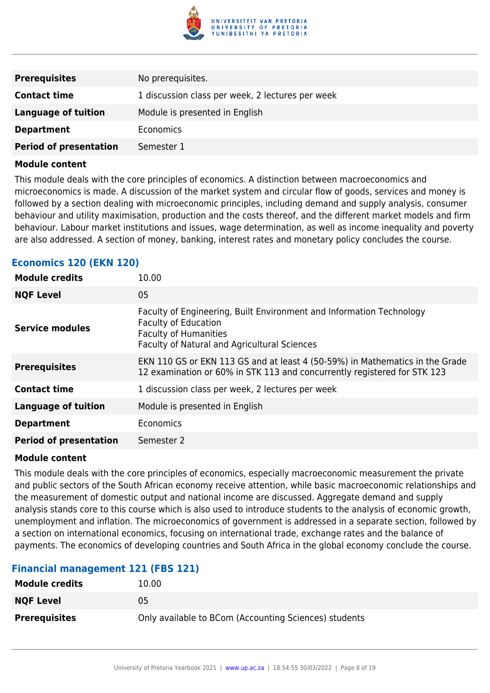

| <b>Prerequisites</b>          | No prerequisites.                                |
|-------------------------------|--------------------------------------------------|
| <b>Contact time</b>           | 1 discussion class per week, 2 lectures per week |
| <b>Language of tuition</b>    | Module is presented in English                   |
| <b>Department</b>             | <b>Economics</b>                                 |
| <b>Period of presentation</b> | Semester 1                                       |

This module deals with the core principles of economics. A distinction between macroeconomics and microeconomics is made. A discussion of the market system and circular flow of goods, services and money is followed by a section dealing with microeconomic principles, including demand and supply analysis, consumer behaviour and utility maximisation, production and the costs thereof, and the different market models and firm behaviour. Labour market institutions and issues, wage determination, as well as income inequality and poverty are also addressed. A section of money, banking, interest rates and monetary policy concludes the course.

#### **Economics 120 (EKN 120)**

| <b>Module credits</b>         | 10.00                                                                                                                                                                                      |
|-------------------------------|--------------------------------------------------------------------------------------------------------------------------------------------------------------------------------------------|
| <b>NQF Level</b>              | 05                                                                                                                                                                                         |
| <b>Service modules</b>        | Faculty of Engineering, Built Environment and Information Technology<br><b>Faculty of Education</b><br><b>Faculty of Humanities</b><br><b>Faculty of Natural and Agricultural Sciences</b> |
| <b>Prerequisites</b>          | EKN 110 GS or EKN 113 GS and at least 4 (50-59%) in Mathematics in the Grade<br>12 examination or 60% in STK 113 and concurrently registered for STK 123                                   |
| <b>Contact time</b>           | 1 discussion class per week, 2 lectures per week                                                                                                                                           |
| <b>Language of tuition</b>    | Module is presented in English                                                                                                                                                             |
| <b>Department</b>             | Economics                                                                                                                                                                                  |
| <b>Period of presentation</b> | Semester 2                                                                                                                                                                                 |

#### **Module content**

This module deals with the core principles of economics, especially macroeconomic measurement the private and public sectors of the South African economy receive attention, while basic macroeconomic relationships and the measurement of domestic output and national income are discussed. Aggregate demand and supply analysis stands core to this course which is also used to introduce students to the analysis of economic growth, unemployment and inflation. The microeconomics of government is addressed in a separate section, followed by a section on international economics, focusing on international trade, exchange rates and the balance of payments. The economics of developing countries and South Africa in the global economy conclude the course.

#### **Financial management 121 (FBS 121)**

| <b>Module credits</b> | 10.00                                                 |
|-----------------------|-------------------------------------------------------|
| <b>NQF Level</b>      | 05                                                    |
| <b>Prerequisites</b>  | Only available to BCom (Accounting Sciences) students |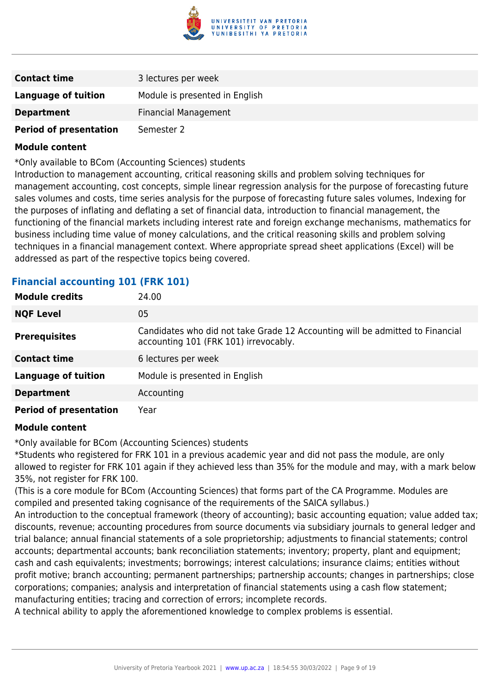

| <b>Contact time</b>           | 3 lectures per week            |
|-------------------------------|--------------------------------|
| <b>Language of tuition</b>    | Module is presented in English |
| <b>Department</b>             | <b>Financial Management</b>    |
| <b>Period of presentation</b> | Semester 2                     |

\*Only available to BCom (Accounting Sciences) students

Introduction to management accounting, critical reasoning skills and problem solving techniques for management accounting, cost concepts, simple linear regression analysis for the purpose of forecasting future sales volumes and costs, time series analysis for the purpose of forecasting future sales volumes, Indexing for the purposes of inflating and deflating a set of financial data, introduction to financial management, the functioning of the financial markets including interest rate and foreign exchange mechanisms, mathematics for business including time value of money calculations, and the critical reasoning skills and problem solving techniques in a financial management context. Where appropriate spread sheet applications (Excel) will be addressed as part of the respective topics being covered.

| <b>Module credits</b>         | 24.00                                                                                                                  |
|-------------------------------|------------------------------------------------------------------------------------------------------------------------|
| <b>NQF Level</b>              | 05                                                                                                                     |
| <b>Prerequisites</b>          | Candidates who did not take Grade 12 Accounting will be admitted to Financial<br>accounting 101 (FRK 101) irrevocably. |
| <b>Contact time</b>           | 6 lectures per week                                                                                                    |
| <b>Language of tuition</b>    | Module is presented in English                                                                                         |
| <b>Department</b>             | Accounting                                                                                                             |
| <b>Period of presentation</b> | Year                                                                                                                   |
|                               |                                                                                                                        |

#### **Financial accounting 101 (FRK 101)**

#### **Module content**

\*Only available for BCom (Accounting Sciences) students

\*Students who registered for FRK 101 in a previous academic year and did not pass the module, are only allowed to register for FRK 101 again if they achieved less than 35% for the module and may, with a mark below 35%, not register for FRK 100.

(This is a core module for BCom (Accounting Sciences) that forms part of the CA Programme. Modules are compiled and presented taking cognisance of the requirements of the SAICA syllabus.)

An introduction to the conceptual framework (theory of accounting); basic accounting equation; value added tax; discounts, revenue; accounting procedures from source documents via subsidiary journals to general ledger and trial balance; annual financial statements of a sole proprietorship; adjustments to financial statements; control accounts; departmental accounts; bank reconciliation statements; inventory; property, plant and equipment; cash and cash equivalents; investments; borrowings; interest calculations; insurance claims; entities without profit motive; branch accounting; permanent partnerships; partnership accounts; changes in partnerships; close corporations; companies; analysis and interpretation of financial statements using a cash flow statement; manufacturing entities; tracing and correction of errors; incomplete records.

A technical ability to apply the aforementioned knowledge to complex problems is essential.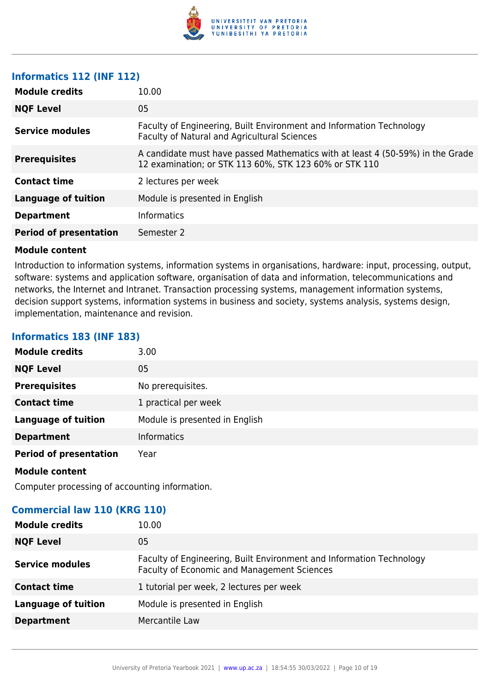

#### **Informatics 112 (INF 112)**

| <b>Module credits</b>         | 10.00                                                                                                                                    |
|-------------------------------|------------------------------------------------------------------------------------------------------------------------------------------|
| <b>NQF Level</b>              | 05                                                                                                                                       |
| Service modules               | Faculty of Engineering, Built Environment and Information Technology<br>Faculty of Natural and Agricultural Sciences                     |
| <b>Prerequisites</b>          | A candidate must have passed Mathematics with at least 4 (50-59%) in the Grade<br>12 examination; or STK 113 60%, STK 123 60% or STK 110 |
| <b>Contact time</b>           | 2 lectures per week                                                                                                                      |
| <b>Language of tuition</b>    | Module is presented in English                                                                                                           |
| <b>Department</b>             | <b>Informatics</b>                                                                                                                       |
| <b>Period of presentation</b> | Semester 2                                                                                                                               |

#### **Module content**

Introduction to information systems, information systems in organisations, hardware: input, processing, output, software: systems and application software, organisation of data and information, telecommunications and networks, the Internet and Intranet. Transaction processing systems, management information systems, decision support systems, information systems in business and society, systems analysis, systems design, implementation, maintenance and revision.

#### **Informatics 183 (INF 183)**

| <b>Module credits</b>         | 3.00                           |
|-------------------------------|--------------------------------|
| <b>NQF Level</b>              | 05                             |
| <b>Prerequisites</b>          | No prerequisites.              |
| <b>Contact time</b>           | 1 practical per week           |
| <b>Language of tuition</b>    | Module is presented in English |
| <b>Department</b>             | <b>Informatics</b>             |
| <b>Period of presentation</b> | Year                           |
| <b>Module content</b>         |                                |

Computer processing of accounting information.

#### **Commercial law 110 (KRG 110)**

| <b>Module credits</b>      | 10.00                                                                                                                      |
|----------------------------|----------------------------------------------------------------------------------------------------------------------------|
| <b>NQF Level</b>           | 05                                                                                                                         |
| <b>Service modules</b>     | Faculty of Engineering, Built Environment and Information Technology<br><b>Faculty of Economic and Management Sciences</b> |
| <b>Contact time</b>        | 1 tutorial per week, 2 lectures per week                                                                                   |
| <b>Language of tuition</b> | Module is presented in English                                                                                             |
| <b>Department</b>          | Mercantile Law                                                                                                             |
|                            |                                                                                                                            |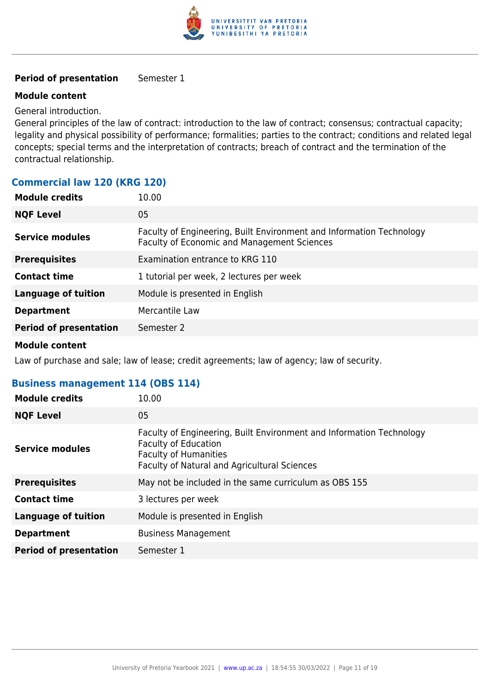

#### **Period of presentation** Semester 1

#### **Module content**

General introduction.

General principles of the law of contract: introduction to the law of contract; consensus; contractual capacity; legality and physical possibility of performance; formalities; parties to the contract; conditions and related legal concepts; special terms and the interpretation of contracts; breach of contract and the termination of the contractual relationship.

#### **Commercial law 120 (KRG 120)**

| <b>Module credits</b>         | 10.00                                                                                                               |
|-------------------------------|---------------------------------------------------------------------------------------------------------------------|
| <b>NQF Level</b>              | 05                                                                                                                  |
| Service modules               | Faculty of Engineering, Built Environment and Information Technology<br>Faculty of Economic and Management Sciences |
| <b>Prerequisites</b>          | Examination entrance to KRG 110                                                                                     |
| <b>Contact time</b>           | 1 tutorial per week, 2 lectures per week                                                                            |
| <b>Language of tuition</b>    | Module is presented in English                                                                                      |
| <b>Department</b>             | Mercantile Law                                                                                                      |
| <b>Period of presentation</b> | Semester 2                                                                                                          |

#### **Module content**

Law of purchase and sale; law of lease; credit agreements; law of agency; law of security.

#### **Business management 114 (OBS 114)**

| <b>Module credits</b>         | 10.00                                                                                                                                                                               |
|-------------------------------|-------------------------------------------------------------------------------------------------------------------------------------------------------------------------------------|
| <b>NQF Level</b>              | 05                                                                                                                                                                                  |
| <b>Service modules</b>        | Faculty of Engineering, Built Environment and Information Technology<br><b>Faculty of Education</b><br><b>Faculty of Humanities</b><br>Faculty of Natural and Agricultural Sciences |
| <b>Prerequisites</b>          | May not be included in the same curriculum as OBS 155                                                                                                                               |
| <b>Contact time</b>           | 3 lectures per week                                                                                                                                                                 |
| <b>Language of tuition</b>    | Module is presented in English                                                                                                                                                      |
| <b>Department</b>             | <b>Business Management</b>                                                                                                                                                          |
| <b>Period of presentation</b> | Semester 1                                                                                                                                                                          |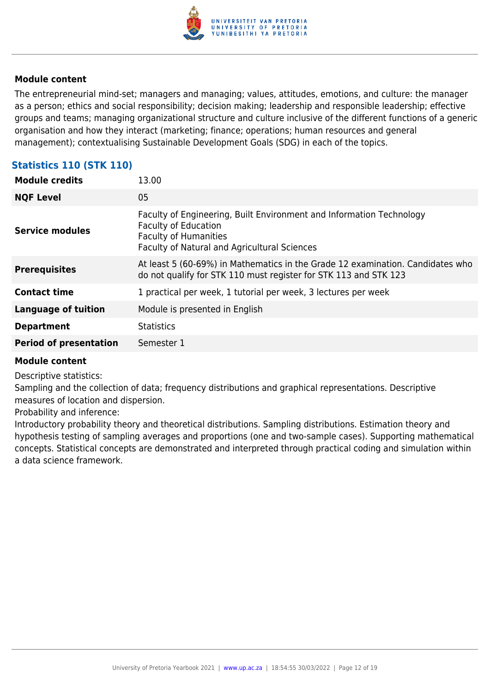

The entrepreneurial mind-set; managers and managing; values, attitudes, emotions, and culture: the manager as a person; ethics and social responsibility; decision making; leadership and responsible leadership; effective groups and teams; managing organizational structure and culture inclusive of the different functions of a generic organisation and how they interact (marketing; finance; operations; human resources and general management); contextualising Sustainable Development Goals (SDG) in each of the topics.

### **Statistics 110 (STK 110)**

| <b>Module credits</b>         | 13.00                                                                                                                                                                               |
|-------------------------------|-------------------------------------------------------------------------------------------------------------------------------------------------------------------------------------|
| <b>NQF Level</b>              | 05                                                                                                                                                                                  |
| <b>Service modules</b>        | Faculty of Engineering, Built Environment and Information Technology<br><b>Faculty of Education</b><br><b>Faculty of Humanities</b><br>Faculty of Natural and Agricultural Sciences |
| <b>Prerequisites</b>          | At least 5 (60-69%) in Mathematics in the Grade 12 examination. Candidates who<br>do not qualify for STK 110 must register for STK 113 and STK 123                                  |
| <b>Contact time</b>           | 1 practical per week, 1 tutorial per week, 3 lectures per week                                                                                                                      |
| <b>Language of tuition</b>    | Module is presented in English                                                                                                                                                      |
| <b>Department</b>             | <b>Statistics</b>                                                                                                                                                                   |
| <b>Period of presentation</b> | Semester 1                                                                                                                                                                          |

#### **Module content**

Descriptive statistics:

Sampling and the collection of data; frequency distributions and graphical representations. Descriptive measures of location and dispersion.

Probability and inference:

Introductory probability theory and theoretical distributions. Sampling distributions. Estimation theory and hypothesis testing of sampling averages and proportions (one and two-sample cases). Supporting mathematical concepts. Statistical concepts are demonstrated and interpreted through practical coding and simulation within a data science framework.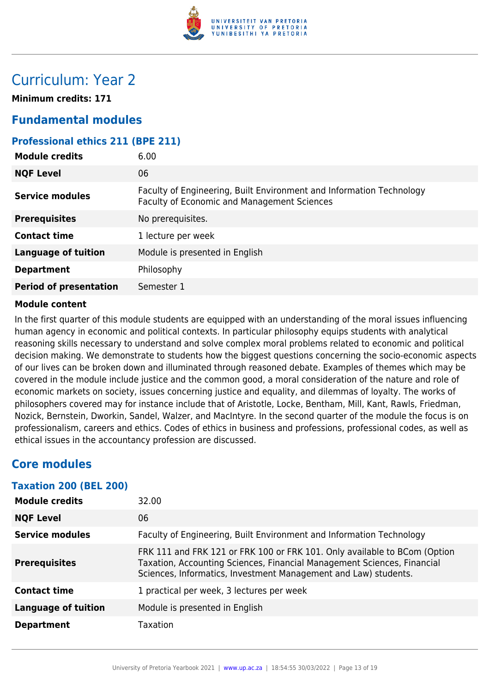

## Curriculum: Year 2

**Minimum credits: 171**

### **Fundamental modules**

#### **Professional ethics 211 (BPE 211)**

| <b>Module credits</b>         | 6.00                                                                                                                |
|-------------------------------|---------------------------------------------------------------------------------------------------------------------|
| <b>NQF Level</b>              | 06                                                                                                                  |
| <b>Service modules</b>        | Faculty of Engineering, Built Environment and Information Technology<br>Faculty of Economic and Management Sciences |
| <b>Prerequisites</b>          | No prerequisites.                                                                                                   |
| <b>Contact time</b>           | 1 lecture per week                                                                                                  |
| <b>Language of tuition</b>    | Module is presented in English                                                                                      |
| <b>Department</b>             | Philosophy                                                                                                          |
| <b>Period of presentation</b> | Semester 1                                                                                                          |

#### **Module content**

In the first quarter of this module students are equipped with an understanding of the moral issues influencing human agency in economic and political contexts. In particular philosophy equips students with analytical reasoning skills necessary to understand and solve complex moral problems related to economic and political decision making. We demonstrate to students how the biggest questions concerning the socio-economic aspects of our lives can be broken down and illuminated through reasoned debate. Examples of themes which may be covered in the module include justice and the common good, a moral consideration of the nature and role of economic markets on society, issues concerning justice and equality, and dilemmas of loyalty. The works of philosophers covered may for instance include that of Aristotle, Locke, Bentham, Mill, Kant, Rawls, Friedman, Nozick, Bernstein, Dworkin, Sandel, Walzer, and MacIntyre. In the second quarter of the module the focus is on professionalism, careers and ethics. Codes of ethics in business and professions, professional codes, as well as ethical issues in the accountancy profession are discussed.

### **Core modules**

#### **Taxation 200 (BEL 200)**

| <b>Module credits</b>  | 32.00                                                                                                                                                                                                                   |
|------------------------|-------------------------------------------------------------------------------------------------------------------------------------------------------------------------------------------------------------------------|
| <b>NQF Level</b>       | 06                                                                                                                                                                                                                      |
| <b>Service modules</b> | Faculty of Engineering, Built Environment and Information Technology                                                                                                                                                    |
| <b>Prerequisites</b>   | FRK 111 and FRK 121 or FRK 100 or FRK 101. Only available to BCom (Option<br>Taxation, Accounting Sciences, Financial Management Sciences, Financial<br>Sciences, Informatics, Investment Management and Law) students. |
| <b>Contact time</b>    | 1 practical per week, 3 lectures per week                                                                                                                                                                               |
| Language of tuition    | Module is presented in English                                                                                                                                                                                          |
| <b>Department</b>      | Taxation                                                                                                                                                                                                                |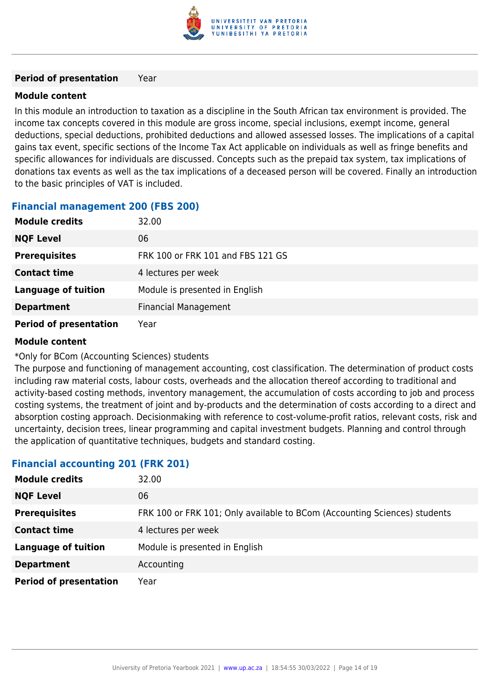

#### **Period of presentation** Year

#### **Module content**

In this module an introduction to taxation as a discipline in the South African tax environment is provided. The income tax concepts covered in this module are gross income, special inclusions, exempt income, general deductions, special deductions, prohibited deductions and allowed assessed losses. The implications of a capital gains tax event, specific sections of the Income Tax Act applicable on individuals as well as fringe benefits and specific allowances for individuals are discussed. Concepts such as the prepaid tax system, tax implications of donations tax events as well as the tax implications of a deceased person will be covered. Finally an introduction to the basic principles of VAT is included.

### **Financial management 200 (FBS 200)**

| <b>Module credits</b>         | 32.00                             |
|-------------------------------|-----------------------------------|
| <b>NQF Level</b>              | 06                                |
| <b>Prerequisites</b>          | FRK 100 or FRK 101 and FBS 121 GS |
| <b>Contact time</b>           | 4 lectures per week               |
| <b>Language of tuition</b>    | Module is presented in English    |
| <b>Department</b>             | <b>Financial Management</b>       |
| <b>Period of presentation</b> | Year                              |

#### **Module content**

\*Only for BCom (Accounting Sciences) students

The purpose and functioning of management accounting, cost classification. The determination of product costs including raw material costs, labour costs, overheads and the allocation thereof according to traditional and activity-based costing methods, inventory management, the accumulation of costs according to job and process costing systems, the treatment of joint and by-products and the determination of costs according to a direct and absorption costing approach. Decisionmaking with reference to cost-volume-profit ratios, relevant costs, risk and uncertainty, decision trees, linear programming and capital investment budgets. Planning and control through the application of quantitative techniques, budgets and standard costing.

#### **Financial accounting 201 (FRK 201)**

| <b>Module credits</b>         | 32.00                                                                     |
|-------------------------------|---------------------------------------------------------------------------|
| <b>NQF Level</b>              | 06                                                                        |
| <b>Prerequisites</b>          | FRK 100 or FRK 101; Only available to BCom (Accounting Sciences) students |
| <b>Contact time</b>           | 4 lectures per week                                                       |
| <b>Language of tuition</b>    | Module is presented in English                                            |
| <b>Department</b>             | Accounting                                                                |
| <b>Period of presentation</b> | Year                                                                      |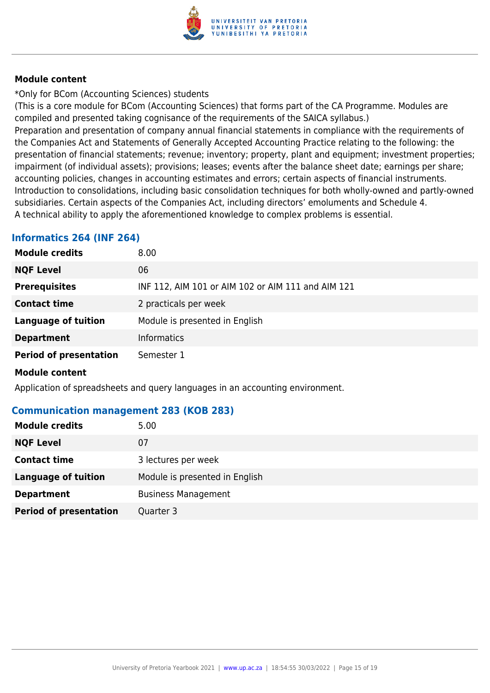

\*Only for BCom (Accounting Sciences) students

(This is a core module for BCom (Accounting Sciences) that forms part of the CA Programme. Modules are compiled and presented taking cognisance of the requirements of the SAICA syllabus.)

Preparation and presentation of company annual financial statements in compliance with the requirements of the Companies Act and Statements of Generally Accepted Accounting Practice relating to the following: the presentation of financial statements; revenue; inventory; property, plant and equipment; investment properties; impairment (of individual assets); provisions; leases; events after the balance sheet date; earnings per share; accounting policies, changes in accounting estimates and errors; certain aspects of financial instruments. Introduction to consolidations, including basic consolidation techniques for both wholly-owned and partly-owned subsidiaries. Certain aspects of the Companies Act, including directors' emoluments and Schedule 4. A technical ability to apply the aforementioned knowledge to complex problems is essential.

### **Informatics 264 (INF 264)**

| <b>Module credits</b>         | 8.00                                               |
|-------------------------------|----------------------------------------------------|
| <b>NQF Level</b>              | 06                                                 |
| <b>Prerequisites</b>          | INF 112, AIM 101 or AIM 102 or AIM 111 and AIM 121 |
| <b>Contact time</b>           | 2 practicals per week                              |
| <b>Language of tuition</b>    | Module is presented in English                     |
| <b>Department</b>             | <b>Informatics</b>                                 |
| <b>Period of presentation</b> | Semester 1                                         |
| .                             |                                                    |

#### **Module content**

Application of spreadsheets and query languages in an accounting environment.

#### **Communication management 283 (KOB 283)**

| <b>Module credits</b>         | 5.00                           |
|-------------------------------|--------------------------------|
| <b>NQF Level</b>              | 07                             |
| <b>Contact time</b>           | 3 lectures per week            |
| <b>Language of tuition</b>    | Module is presented in English |
| <b>Department</b>             | <b>Business Management</b>     |
| <b>Period of presentation</b> | Quarter 3                      |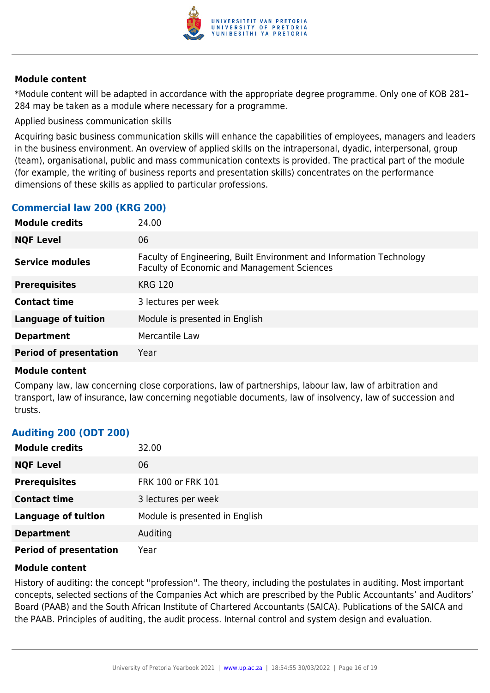

\*Module content will be adapted in accordance with the appropriate degree programme. Only one of KOB 281– 284 may be taken as a module where necessary for a programme.

Applied business communication skills

Acquiring basic business communication skills will enhance the capabilities of employees, managers and leaders in the business environment. An overview of applied skills on the intrapersonal, dyadic, interpersonal, group (team), organisational, public and mass communication contexts is provided. The practical part of the module (for example, the writing of business reports and presentation skills) concentrates on the performance dimensions of these skills as applied to particular professions.

#### **Commercial law 200 (KRG 200)**

| <b>Module credits</b>         | 24.00                                                                                                                      |
|-------------------------------|----------------------------------------------------------------------------------------------------------------------------|
| <b>NQF Level</b>              | 06                                                                                                                         |
| Service modules               | Faculty of Engineering, Built Environment and Information Technology<br><b>Faculty of Economic and Management Sciences</b> |
| <b>Prerequisites</b>          | <b>KRG 120</b>                                                                                                             |
| <b>Contact time</b>           | 3 lectures per week                                                                                                        |
| <b>Language of tuition</b>    | Module is presented in English                                                                                             |
| <b>Department</b>             | Mercantile Law                                                                                                             |
| <b>Period of presentation</b> | Year                                                                                                                       |
|                               |                                                                                                                            |

#### **Module content**

Company law, law concerning close corporations, law of partnerships, labour law, law of arbitration and transport, law of insurance, law concerning negotiable documents, law of insolvency, law of succession and trusts.

#### **Auditing 200 (ODT 200)**

| <b>Module credits</b>         | 32.00                          |
|-------------------------------|--------------------------------|
| <b>NQF Level</b>              | 06                             |
| <b>Prerequisites</b>          | FRK 100 or FRK 101             |
| <b>Contact time</b>           | 3 lectures per week            |
| <b>Language of tuition</b>    | Module is presented in English |
| <b>Department</b>             | Auditing                       |
| <b>Period of presentation</b> | Year                           |

#### **Module content**

History of auditing: the concept ''profession''. The theory, including the postulates in auditing. Most important concepts, selected sections of the Companies Act which are prescribed by the Public Accountants' and Auditors' Board (PAAB) and the South African Institute of Chartered Accountants (SAICA). Publications of the SAICA and the PAAB. Principles of auditing, the audit process. Internal control and system design and evaluation.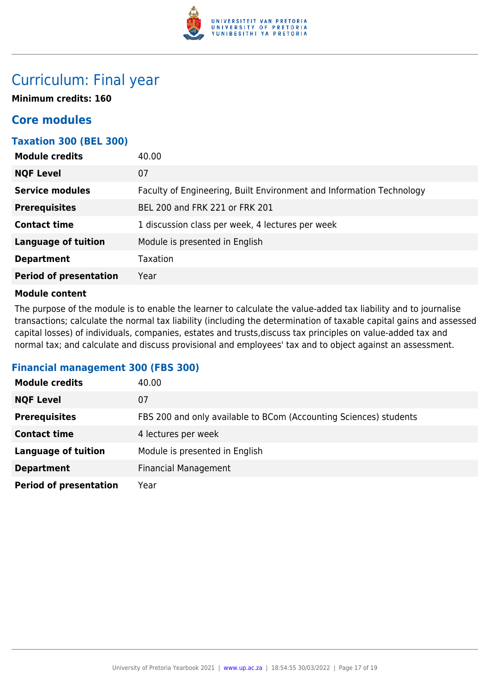

## Curriculum: Final year

**Minimum credits: 160**

## **Core modules**

| <b>Taxation 300 (BEL 300)</b> |                                                                      |
|-------------------------------|----------------------------------------------------------------------|
| <b>Module credits</b>         | 40.00                                                                |
| <b>NQF Level</b>              | 07                                                                   |
| <b>Service modules</b>        | Faculty of Engineering, Built Environment and Information Technology |
| <b>Prerequisites</b>          | BEL 200 and FRK 221 or FRK 201                                       |
| <b>Contact time</b>           | 1 discussion class per week, 4 lectures per week                     |
| <b>Language of tuition</b>    | Module is presented in English                                       |
| <b>Department</b>             | Taxation                                                             |
| <b>Period of presentation</b> | Year                                                                 |
|                               |                                                                      |

#### **Module content**

The purpose of the module is to enable the learner to calculate the value-added tax liability and to journalise transactions; calculate the normal tax liability (including the determination of taxable capital gains and assessed capital losses) of individuals, companies, estates and trusts,discuss tax principles on value-added tax and normal tax; and calculate and discuss provisional and employees' tax and to object against an assessment.

#### **Financial management 300 (FBS 300)**

| <b>Module credits</b>         | 40.00                                                             |
|-------------------------------|-------------------------------------------------------------------|
| <b>NQF Level</b>              | 07                                                                |
| <b>Prerequisites</b>          | FBS 200 and only available to BCom (Accounting Sciences) students |
| <b>Contact time</b>           | 4 lectures per week                                               |
| <b>Language of tuition</b>    | Module is presented in English                                    |
| <b>Department</b>             | <b>Financial Management</b>                                       |
| <b>Period of presentation</b> | Year                                                              |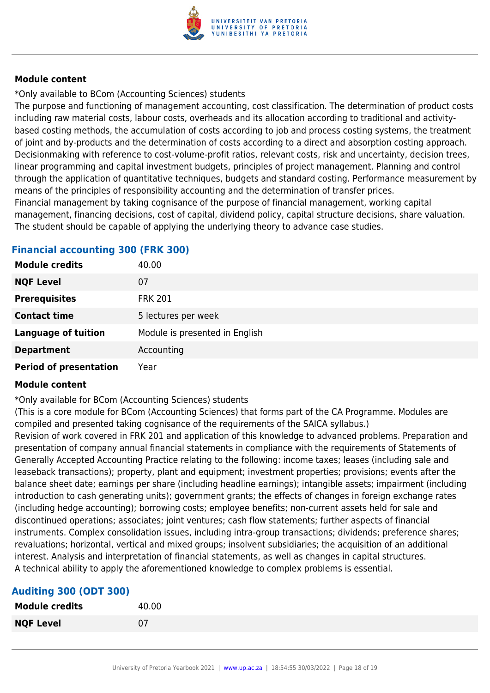

\*Only available to BCom (Accounting Sciences) students

The purpose and functioning of management accounting, cost classification. The determination of product costs including raw material costs, labour costs, overheads and its allocation according to traditional and activitybased costing methods, the accumulation of costs according to job and process costing systems, the treatment of joint and by-products and the determination of costs according to a direct and absorption costing approach. Decisionmaking with reference to cost-volume-profit ratios, relevant costs, risk and uncertainty, decision trees, linear programming and capital investment budgets, principles of project management. Planning and control through the application of quantitative techniques, budgets and standard costing. Performance measurement by means of the principles of responsibility accounting and the determination of transfer prices. Financial management by taking cognisance of the purpose of financial management, working capital

management, financing decisions, cost of capital, dividend policy, capital structure decisions, share valuation. The student should be capable of applying the underlying theory to advance case studies.

#### **Financial accounting 300 (FRK 300)**

| <b>Module credits</b>         | 40.00                          |
|-------------------------------|--------------------------------|
| <b>NQF Level</b>              | 07                             |
| <b>Prerequisites</b>          | <b>FRK 201</b>                 |
| <b>Contact time</b>           | 5 lectures per week            |
| <b>Language of tuition</b>    | Module is presented in English |
| <b>Department</b>             | Accounting                     |
| <b>Period of presentation</b> | Year                           |

#### **Module content**

\*Only available for BCom (Accounting Sciences) students

(This is a core module for BCom (Accounting Sciences) that forms part of the CA Programme. Modules are compiled and presented taking cognisance of the requirements of the SAICA syllabus.) Revision of work covered in FRK 201 and application of this knowledge to advanced problems. Preparation and presentation of company annual financial statements in compliance with the requirements of Statements of Generally Accepted Accounting Practice relating to the following: income taxes; leases (including sale and leaseback transactions); property, plant and equipment; investment properties; provisions; events after the balance sheet date; earnings per share (including headline earnings); intangible assets; impairment (including

introduction to cash generating units); government grants; the effects of changes in foreign exchange rates (including hedge accounting); borrowing costs; employee benefits; non-current assets held for sale and discontinued operations; associates; joint ventures; cash flow statements; further aspects of financial instruments. Complex consolidation issues, including intra-group transactions; dividends; preference shares; revaluations; horizontal, vertical and mixed groups; insolvent subsidiaries; the acquisition of an additional interest. Analysis and interpretation of financial statements, as well as changes in capital structures. A technical ability to apply the aforementioned knowledge to complex problems is essential.

#### **Auditing 300 (ODT 300)**

| <b>Module credits</b> | 40.00 |
|-----------------------|-------|
| <b>NQF Level</b>      | 07    |
|                       |       |